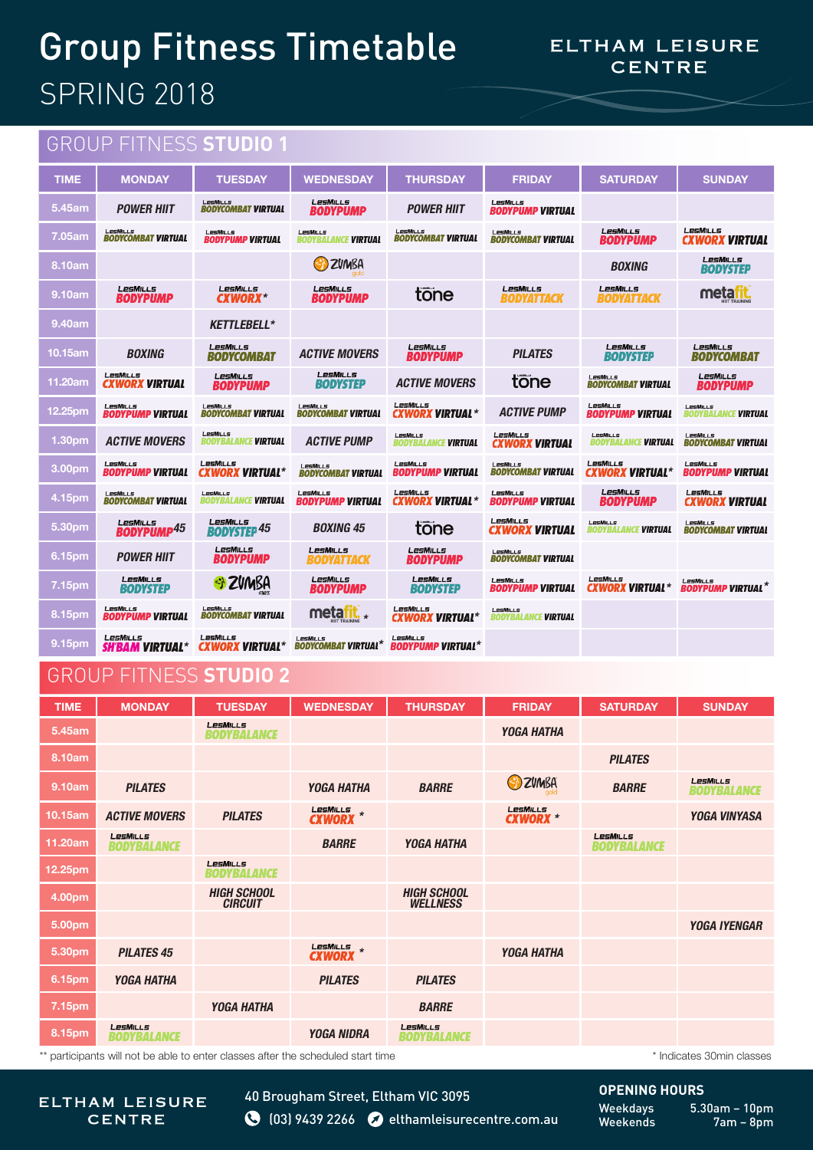## Group Fitness Timetable SPRING 2018

## ELTHAM LEISURE **CENTRE**

## GROUP FITNESS **STUDIO 1**

| <b>TIME</b>        | <b>MONDAY</b>                         | <b>TUESDAY</b>                         | <b>WEDNESDAY</b>                                  | <b>THURSDAY</b>                        | <b>FRIDAY</b>                                | <b>SATURDAY</b>                        | <b>SUNDAY</b>                                |
|--------------------|---------------------------------------|----------------------------------------|---------------------------------------------------|----------------------------------------|----------------------------------------------|----------------------------------------|----------------------------------------------|
| 5.45am             | <b>POWER HIIT</b>                     | LesMills<br><b>BODYCOMBAT VIRTUAL</b>  | <b>LesMiLLs</b><br><b>BODYPUMP</b>                | <b>POWER HIIT</b>                      | LesMiLLs<br><b>BODYPUMP VIRTUAL</b>          |                                        |                                              |
| 7.05am             | LesMills<br><b>BODYCOMBAT VIRTUAL</b> | LesMILLs<br><b>BODYPUMP VIRTUAL</b>    | LesMills<br><b><i>ANCE VIRTUAL</i></b><br>RODYBAL | LesMills<br><b>BODYCOMBAT VIRTUAL</b>  | LesMills<br><b>BODYCOMBAT VIRTUAL</b>        | LesMills<br><b>BODYPUMP</b>            | LesMills<br><b>CXWORX VIRTUAL</b>            |
| 8.10am             |                                       |                                        | <b>ZUMBA</b>                                      |                                        |                                              | <b>BOXING</b>                          | LesMills<br><b>BODYSTEP</b>                  |
| 9.10am             | LesMills<br><b>BODYPUMP</b>           | LesMills<br><b>CXWORX*</b>             | LesMills<br><b>BODYPUMP</b>                       | tone                                   | LesMills<br><b>BODYATTACK</b>                | <b>LesMills</b><br><b>BODYATTACK</b>   | meta <mark>rit</mark>                        |
| 9.40am             |                                       | <b>KETTLEBELL*</b>                     |                                                   |                                        |                                              |                                        |                                              |
| 10.15am            | <b>BOXING</b>                         | LesMills<br><b>BODYCOMBAT</b>          | <b>ACTIVE MOVERS</b>                              | LesMills<br><b>BODYPUMP</b>            | <b>PILATES</b>                               | LesMills<br><b><i>RODYSTEP</i></b>     | LesMills<br><b>BODYCOMBAT</b>                |
| 11.20am            | LesMills<br><b>CXWORX VIRTUAL</b>     | LesMills<br><b>BODYPUMP</b>            | LesMILLs<br><b>BODYSTEP</b>                       | <b>ACTIVE MOVERS</b>                   | tone                                         | LesMills<br><b>BODYCOMBAT VIRTUAL</b>  | LesMills<br><b>BODYPUMP</b>                  |
| 12.25pm            | LesMills<br><b>BODYPUMP VIRTUAL</b>   | LesMills<br><b>BODYCOMBAT VIRTUAL</b>  | LesMills<br><b>BODYCOMBAT VIRTUAL</b>             | LesMills<br><b>CXWORX VIRTUAL *</b>    | <b>ACTIVE PUMP</b>                           | LesMILLs<br><b>BODYPUMP VIRTUAL</b>    | LesMills<br>BODYBALANCE <b>VIRTUAL</b>       |
| 1.30pm             | <b>ACTIVE MOVERS</b>                  | LesMills<br><b>BODYBALANCE VIRTUAL</b> | <b>ACTIVE PUMP</b>                                | LesMills<br><b>BODYBALANCE VIRTUAL</b> | LesMills<br><b>CXWORX VIRTUAL</b>            | LesMiLLs<br>BODYBALANCE <b>VIRTUAL</b> | LesMILLS<br><b>BODYCOMBAT VIRTUAL</b>        |
| 3.00 <sub>pm</sub> | LesMILLs<br><b>BODYPUMP VIRTUAL</b>   | LesMills<br><b>CXWORX VIRTUAL*</b>     | LesMills<br><b>BODYCOMBAT VIRTUAL</b>             | LesMills<br><b>BODYPUMP VIRTUAL</b>    | LesMills<br><b>BODYCOMBAT VIRTUAL</b>        | LesMills<br><b>CXWORX VIRTUAL*</b>     | LesMILLs<br><i><b>BODYPUMP VIRTUAL</b></i>   |
| 4.15pm             | LesMills<br><b>BODYCOMBAT VIRTUAL</b> | LesMills<br><b>BODYBALANCE VIRTUAL</b> | LesMills<br><b>BODYPUMP VIRTUAL</b>               | LesMills<br><b>CXWORX VIRTUAL *</b>    | LesMILLS<br><b>BODYPUMP VIRTUAL</b>          | LesMills<br><b>BODYPUMP</b>            | LesMills<br><b>CXWORX VIRTUAL</b>            |
| 5.30 <sub>pm</sub> | LesMiLLs<br><b>BODYPUMP45</b>         | LesMills<br><b>BODYSTEP 45</b>         | <b>BOXING 45</b>                                  | tone                                   | LesMills<br><b>CXWORX VIRTUAL</b>            | LesMills<br>BODYBALANCE <b>VIRTUAL</b> | LesMills<br><b>BODYCOMBAT VIRTUAL</b>        |
| 6.15 <sub>pm</sub> | <b>POWER HIIT</b>                     | <b>LesMiLLs</b><br><b>BODYPUMP</b>     | LesMills<br><b>BODYATTACK</b>                     | LesMiLLs<br><b>BODYPUMP</b>            | <b>LesMILLS</b><br><b>BODYCOMBAT VIRTUAL</b> |                                        |                                              |
| 7.15pm             | LesMills<br><b><i>RODYSTEP</i></b>    | * ZVMBA                                | LesMills<br><b><i>RODYPUMP</i></b>                | LesMills<br><b><i>RODYSTEP</i></b>     | LesMILLS<br>BODYPUMP VIRTUAL                 | LesMills<br>CXWORX VIRTUAL*            | <b>LesMILLS</b><br><b>BODYPUMP VIRTUAL</b> * |
| 8.15pm             | LesMILLs<br><b>BODYPUMP VIRTUAL</b>   | LesMills<br><b>BODYCOMBAT VIRTUAL</b>  | metafit.<br>$\star$<br><b>QUILILIA OT TILL</b>    | LesMills<br><b>CXWORX VIRTUAL*</b>     | LesMills<br><b>BODYBALANCE VIRTUAL</b>       |                                        |                                              |
| 9.15pm             | LesMills<br><b>SH'BAM VIRTUAL*</b>    | LesMills<br><b>CXWORX VIRTUAL*</b>     | LesMills<br><b>BODYCOMBAT VIRTUAL*</b>            | LesMILLs<br><b>BODYPUMP VIRTUAL*</b>   |                                              |                                        |                                              |

## GROUP FITNESS **STUDIO 2**

| <b>TIME</b>                                                                      | <b>MONDAY</b>                         | <b>TUESDAY</b>                        | <b>WEDNESDAY</b>  | <b>THURSDAY</b>                       | <b>FRIDAY</b>                      | <b>SATURDAY</b>                | <b>SUNDAY</b>                  |
|----------------------------------------------------------------------------------|---------------------------------------|---------------------------------------|-------------------|---------------------------------------|------------------------------------|--------------------------------|--------------------------------|
| 5.45am                                                                           |                                       | <b>LesMILLS</b><br><b>BODYBALANCE</b> |                   |                                       | <b>YOGA HATHA</b>                  |                                |                                |
| 8.10am                                                                           |                                       |                                       |                   |                                       |                                    | <b>PILATES</b>                 |                                |
| 9.10am                                                                           | <b>PILATES</b>                        |                                       | <b>YOGA HATHA</b> | <b>BARRE</b>                          | <b>B</b> ZUMBA                     | <b>BARRE</b>                   | LesMills<br><b>BODYBALANCE</b> |
| 10.15am                                                                          | <b>ACTIVE MOVERS</b>                  | <b>PILATES</b>                        | <b>CXWORX</b> *   |                                       | <b>LesMILLS</b><br><b>CXWORX *</b> |                                | <b>YOGA VINYASA</b>            |
| 11.20am                                                                          | <b>LesMILLS</b><br><b>BODYBALANCE</b> |                                       | <b>BARRE</b>      | <b>YOGA HATHA</b>                     |                                    | LesMills<br><b>BODYBALANCE</b> |                                |
| 12.25pm                                                                          |                                       | <b>LesMILLS</b><br>BODYBALANCE        |                   |                                       |                                    |                                |                                |
| 4.00pm                                                                           |                                       | <b>HIGH SCHOOL</b><br><b>CIRCUIT</b>  |                   | <b>HIGH SCHOOL</b><br><b>WELLNESS</b> |                                    |                                |                                |
| 5.00pm                                                                           |                                       |                                       |                   |                                       |                                    |                                | <b>YOGA IYENGAR</b>            |
| 5.30pm                                                                           | <b>PILATES 45</b>                     |                                       | <b>CXWORX</b> *   |                                       | <b>YOGA HATHA</b>                  |                                |                                |
| 6.15pm                                                                           | <b>YOGA HATHA</b>                     |                                       | <b>PILATES</b>    | <b>PILATES</b>                        |                                    |                                |                                |
| 7.15pm                                                                           |                                       | <b>YOGA HATHA</b>                     |                   | <b>BARRE</b>                          |                                    |                                |                                |
| 8.15pm                                                                           | <b>LesMILLS</b><br><b>BODYBALANCE</b> |                                       | <b>YOGA NIDRA</b> | LesMills<br><b>BODYBALANCE</b>        |                                    |                                |                                |
| ** participants will not be able to enter classes after the scheduled start time |                                       |                                       |                   |                                       |                                    |                                | * Indicates 30min classes      |

participants will not be able to enter classes after the scheduled start time

ELTHAM LEISURE **CENTRE** 

40 Brougham Street, Eltham VIC 3095 **8** (03) 9439 2266 **elthamleisurecentre.com.au**  **OPENING HOURS**

Weekdays 5.30am – 10pm<br>Weekends 7am – 8pm  $7am - 8pm$